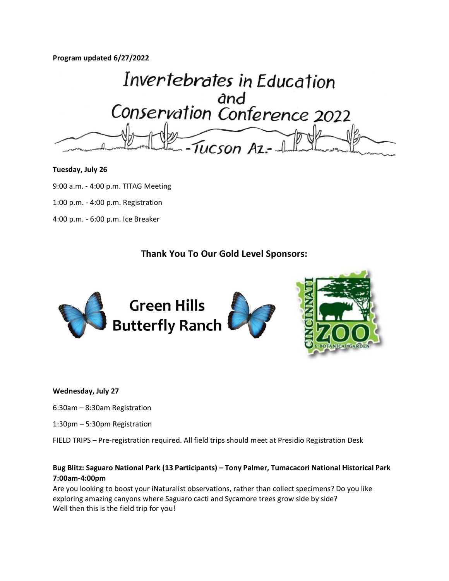**Program updated 6/27/2022**

Invertebrates in Education and<br>Conservation Conference 2022

#### **Tuesday, July 26**

9:00 a.m. - 4:00 p.m. TITAG Meeting

1:00 p.m. - 4:00 p.m. Registration

4:00 p.m. - 6:00 p.m. Ice Breaker

# **Thank You To Our Gold Level Sponsors:**



#### **Wednesday, July 27**

- 6:30am 8:30am Registration
- 1:30pm 5:30pm Registration
- FIELD TRIPS Pre-registration required. All field trips should meet at Presidio Registration Desk

# **Bug Blitz: Saguaro National Park (13 Participants) – Tony Palmer, Tumacacori National Historical Park 7:00am-4:00pm**

Are you looking to boost your iNaturalist observations, rather than collect specimens? Do you like exploring amazing canyons where Saguaro cacti and Sycamore trees grow side by side? Well then this is the field trip for you!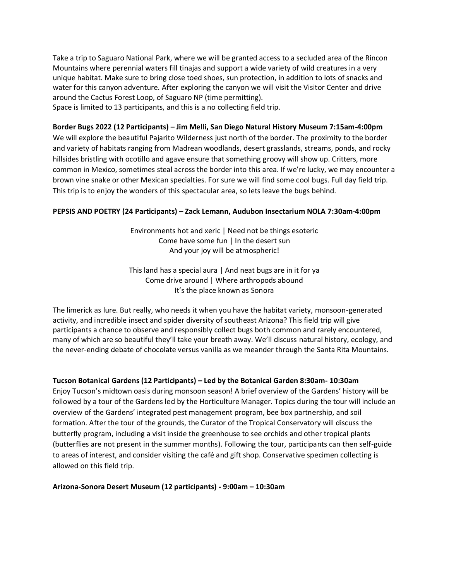Take a trip to Saguaro National Park, where we will be granted access to a secluded area of the Rincon Mountains where perennial waters fill tinajas and support a wide variety of wild creatures in a very unique habitat. Make sure to bring close toed shoes, sun protection, in addition to lots of snacks and water for this canyon adventure. After exploring the canyon we will visit the Visitor Center and drive around the Cactus Forest Loop, of Saguaro NP (time permitting).

Space is limited to 13 participants, and this is a no collecting field trip.

# **Border Bugs 2022 (12 Participants) – Jim Melli, San Diego Natural History Museum 7:15am-4:00pm**

We will explore the beautiful Pajarito Wilderness just north of the border. The proximity to the border and variety of habitats ranging from Madrean woodlands, desert grasslands, streams, ponds, and rocky hillsides bristling with ocotillo and agave ensure that something groovy will show up. Critters, more common in Mexico, sometimes steal across the border into this area. If we're lucky, we may encounter a brown vine snake or other Mexican specialties. For sure we will find some cool bugs. Full day field trip. This trip is to enjoy the wonders of this spectacular area, so lets leave the bugs behind.

# **PEPSIS AND POETRY (24 Participants) – Zack Lemann, Audubon Insectarium NOLA 7:30am-4:00pm**

Environments hot and xeric | Need not be things esoteric Come have some fun | In the desert sun And your joy will be atmospheric!

This land has a special aura | And neat bugs are in it for ya Come drive around | Where arthropods abound It's the place known as Sonora

The limerick as lure. But really, who needs it when you have the habitat variety, monsoon-generated activity, and incredible insect and spider diversity of southeast Arizona? This field trip will give participants a chance to observe and responsibly collect bugs both common and rarely encountered, many of which are so beautiful they'll take your breath away. We'll discuss natural history, ecology, and the never-ending debate of chocolate versus vanilla as we meander through the Santa Rita Mountains.

#### **Tucson Botanical Gardens (12 Participants) – Led by the Botanical Garden 8:30am- 10:30am**

Enjoy Tucson's midtown oasis during monsoon season! A brief overview of the Gardens' history will be followed by a tour of the Gardens led by the Horticulture Manager. Topics during the tour will include an overview of the Gardens' integrated pest management program, bee box partnership, and soil formation. After the tour of the grounds, the Curator of the Tropical Conservatory will discuss the butterfly program, including a visit inside the greenhouse to see orchids and other tropical plants (butterflies are not present in the summer months). Following the tour, participants can then self-guide to areas of interest, and consider visiting the café and gift shop. Conservative specimen collecting is allowed on this field trip.

#### **Arizona-Sonora Desert Museum (12 participants) - 9:00am – 10:30am**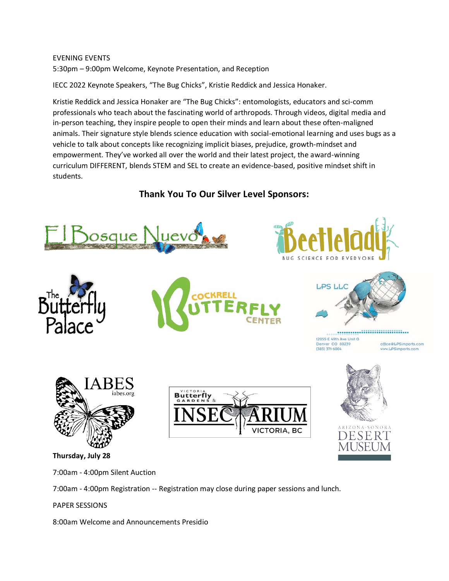# EVENING EVENTS 5:30pm – 9:00pm Welcome, Keynote Presentation, and Reception

IECC 2022 Keynote Speakers, "The Bug Chicks", Kristie Reddick and Jessica Honaker.

Kristie Reddick and Jessica Honaker are "The Bug Chicks": entomologists, educators and sci-comm professionals who teach about the fascinating world of arthropods. Through videos, digital media and in-person teaching, they inspire people to open their minds and learn about these often-maligned animals. Their signature style blends science education with social-emotional learning and uses bugs as a vehicle to talk about concepts like recognizing implicit biases, prejudice, growth-mindset and empowerment. They've worked all over the world and their latest project, the award-winning curriculum DIFFERENT, blends STEM and SEL to create an evidence-based, positive mindset shift in students.

**Thank You To Our Silver Level Sponsors:**











................................... 12055 E 49th Ave Unit G Denver CO 80239 office@LPSimports.com  $(303) 371 - 6004$ w.LPSimports.com



**Thursday, July 28**

7:00am - 4:00pm Silent Auction

7:00am - 4:00pm Registration -- Registration may close during paper sessions and lunch.

PAPER SESSIONS

8:00am Welcome and Announcements Presidio



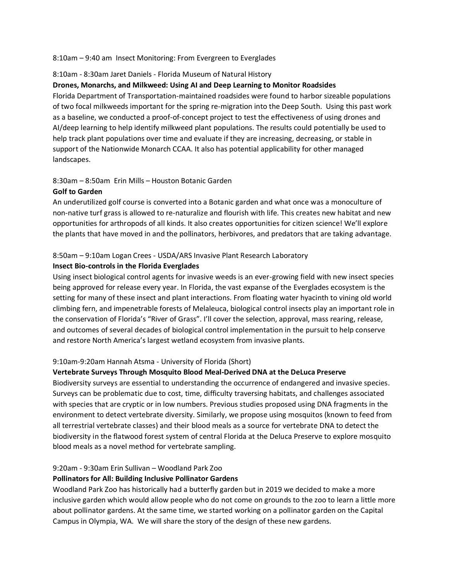#### 8:10am – 9:40 am Insect Monitoring: From Evergreen to Everglades

#### 8:10am - 8:30am Jaret Daniels - Florida Museum of Natural History

#### **Drones, Monarchs, and Milkweed: Using AI and Deep Learning to Monitor Roadsides**

Florida Department of Transportation-maintained roadsides were found to harbor sizeable populations of two focal milkweeds important for the spring re-migration into the Deep South. Using this past work as a baseline, we conducted a proof-of-concept project to test the effectiveness of using drones and AI/deep learning to help identify milkweed plant populations. The results could potentially be used to help track plant populations over time and evaluate if they are increasing, decreasing, or stable in support of the Nationwide Monarch CCAA. It also has potential applicability for other managed landscapes.

#### 8:30am – 8:50am Erin Mills – Houston Botanic Garden

#### **Golf to Garden**

An underutilized golf course is converted into a Botanic garden and what once was a monoculture of non-native turf grass is allowed to re-naturalize and flourish with life. This creates new habitat and new opportunities for arthropods of all kinds. It also creates opportunities for citizen science! We'll explore the plants that have moved in and the pollinators, herbivores, and predators that are taking advantage.

#### 8:50am – 9:10am Logan Crees - USDA/ARS Invasive Plant Research Laboratory

#### **Insect Bio-controls in the Florida Everglades**

Using insect biological control agents for invasive weeds is an ever-growing field with new insect species being approved for release every year. In Florida, the vast expanse of the Everglades ecosystem is the setting for many of these insect and plant interactions. From floating water hyacinth to vining old world climbing fern, and impenetrable forests of Melaleuca, biological control insects play an important role in the conservation of Florida's "River of Grass". I'll cover the selection, approval, mass rearing, release, and outcomes of several decades of biological control implementation in the pursuit to help conserve and restore North America's largest wetland ecosystem from invasive plants.

#### 9:10am-9:20am Hannah Atsma - University of Florida (Short)

#### **Vertebrate Surveys Through Mosquito Blood Meal-Derived DNA at the DeLuca Preserve**

Biodiversity surveys are essential to understanding the occurrence of endangered and invasive species. Surveys can be problematic due to cost, time, difficulty traversing habitats, and challenges associated with species that are cryptic or in low numbers. Previous studies proposed using DNA fragments in the environment to detect vertebrate diversity. Similarly, we propose using mosquitos (known to feed from all terrestrial vertebrate classes) and their blood meals as a source for vertebrate DNA to detect the biodiversity in the flatwood forest system of central Florida at the Deluca Preserve to explore mosquito blood meals as a novel method for vertebrate sampling.

# 9:20am - 9:30am Erin Sullivan – Woodland Park Zoo

#### **Pollinators for All: Building Inclusive Pollinator Gardens**

Woodland Park Zoo has historically had a butterfly garden but in 2019 we decided to make a more inclusive garden which would allow people who do not come on grounds to the zoo to learn a little more about pollinator gardens. At the same time, we started working on a pollinator garden on the Capital Campus in Olympia, WA. We will share the story of the design of these new gardens.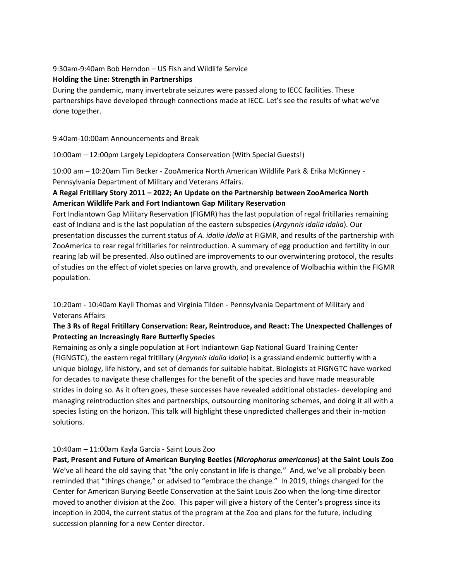# 9:30am-9:40am Bob Herndon – US Fish and Wildlife Service

# **Holding the Line: Strength in Partnerships**

During the pandemic, many invertebrate seizures were passed along to IECC facilities. These partnerships have developed through connections made at IECC. Let's see the results of what we've done together.

9:40am-10:00am Announcements and Break

10:00am – 12:00pm Largely Lepidoptera Conservation (With Special Guests!)

10:00 am – 10:20am Tim Becker - ZooAmerica North American Wildlife Park & Erika McKinney - Pennsylvania Department of Military and Veterans Affairs.

# **A Regal Fritillary Story 2011 – 2022; An Update on the Partnership between ZooAmerica North American Wildlife Park and Fort Indiantown Gap Military Reservation**

Fort Indiantown Gap Military Reservation (FIGMR) has the last population of regal fritillaries remaining east of Indiana and is the last population of the eastern subspecies (*Argynnis idalia idalia*). Our presentation discusses the current status of *A. idalia idalia* at FIGMR, and results of the partnership with ZooAmerica to rear regal fritillaries for reintroduction. A summary of egg production and fertility in our rearing lab will be presented. Also outlined are improvements to our overwintering protocol, the results of studies on the effect of violet species on larva growth, and prevalence of Wolbachia within the FIGMR population.

10:20am - 10:40am Kayli Thomas and Virginia Tilden - Pennsylvania Department of Military and Veterans Affairs

# **The 3 Rs of Regal Fritillary Conservation: Rear, Reintroduce, and React: The Unexpected Challenges of Protecting an Increasingly Rare Butterfly Species**

Remaining as only a single population at Fort Indiantown Gap National Guard Training Center (FIGNGTC), the eastern regal fritillary (*Argynnis idalia idalia*) is a grassland endemic butterfly with a unique biology, life history, and set of demands for suitable habitat. Biologists at FIGNGTC have worked for decades to navigate these challenges for the benefit of the species and have made measurable strides in doing so. As it often goes, these successes have revealed additional obstacles- developing and managing reintroduction sites and partnerships, outsourcing monitoring schemes, and doing it all with a species listing on the horizon. This talk will highlight these unpredicted challenges and their in-motion solutions.

# 10:40am – 11:00am Kayla Garcia - Saint Louis Zoo

**Past, Present and Future of American Burying Beetles (***Nicrophorus americanus***) at the Saint Louis Zoo** We've all heard the old saying that "the only constant in life is change." And, we've all probably been reminded that "things change," or advised to "embrace the change." In 2019, things changed for the Center for American Burying Beetle Conservation at the Saint Louis Zoo when the long-time director moved to another division at the Zoo. This paper will give a history of the Center's progress since its inception in 2004, the current status of the program at the Zoo and plans for the future, including succession planning for a new Center director.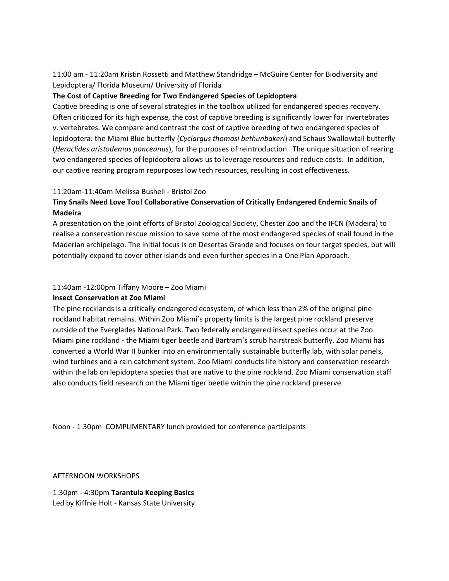11:00 am - 11:20am Kristin Rossetti and Matthew Standridge – McGuire Center for Biodiversity and Lepidoptera/ Florida Museum/ University of Florida

# **The Cost of Captive Breeding for Two Endangered Species of Lepidoptera**

Captive breeding is one of several strategies in the toolbox utilized for endangered species recovery. Often criticized for its high expense, the cost of captive breeding is significantly lower for invertebrates v. vertebrates. We compare and contrast the cost of captive breeding of two endangered species of lepidoptera: the Miami Blue butterfly (*Cyclargus thomasi bethunbakeri*) and Schaus Swallowtail butterfly (*Heraclides aristodemus ponceanus*), for the purposes of reintroduction. The unique situation of rearing two endangered species of lepidoptera allows us to leverage resources and reduce costs. In addition, our captive rearing program repurposes low tech resources, resulting in cost effectiveness.

# 11:20am-11:40am Melissa Bushell - Bristol Zoo

# **Tiny Snails Need Love Too! Collaborative Conservation of Critically Endangered Endemic Snails of Madeira**

A presentation on the joint efforts of Bristol Zoological Society, Chester Zoo and the IFCN (Madeira) to realise a conservation rescue mission to save some of the most endangered species of snail found in the Maderian archipelago. The initial focus is on Desertas Grande and focuses on four target species, but will potentially expand to cover other islands and even further species in a One Plan Approach.

# 11:40am -12:00pm Tiffany Moore – Zoo Miami

#### **Insect Conservation at Zoo Miami**

The pine rocklands is a critically endangered ecosystem, of which less than 2% of the original pine rockland habitat remains. Within Zoo Miami's property limits is the largest pine rockland preserve outside of the Everglades National Park. Two federally endangered insect species occur at the Zoo Miami pine rockland - the Miami tiger beetle and Bartram's scrub hairstreak butterfly. Zoo Miami has converted a World War II bunker into an environmentally sustainable butterfly lab, with solar panels, wind turbines and a rain catchment system. Zoo Miami conducts life history and conservation research within the lab on lepidoptera species that are native to the pine rockland. Zoo Miami conservation staff also conducts field research on the Miami tiger beetle within the pine rockland preserve.

Noon - 1:30pm COMPLIMENTARY lunch provided for conference participants

AFTERNOON WORKSHOPS

1:30pm - 4:30pm **Tarantula Keeping Basics** Led by Kiffnie Holt - Kansas State University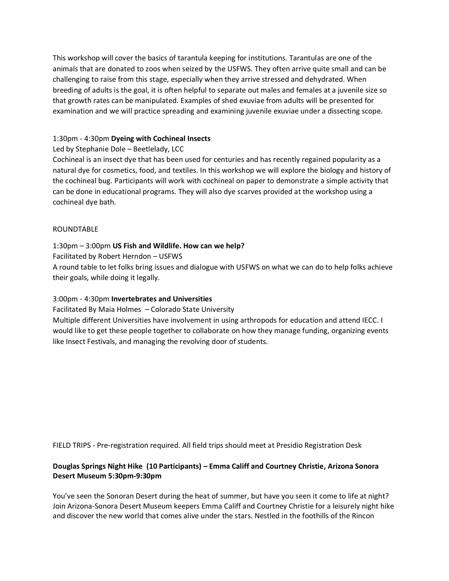This workshop will cover the basics of tarantula keeping for institutions. Tarantulas are one of the animals that are donated to zoos when seized by the USFWS. They often arrive quite small and can be challenging to raise from this stage, especially when they arrive stressed and dehydrated. When breeding of adults is the goal, it is often helpful to separate out males and females at a juvenile size so that growth rates can be manipulated. Examples of shed exuviae from adults will be presented for examination and we will practice spreading and examining juvenile exuviae under a dissecting scope.

# 1:30pm - 4:30pm **Dyeing with Cochineal Insects**

Led by Stephanie Dole – Beetlelady, LCC

Cochineal is an insect dye that has been used for centuries and has recently regained popularity as a natural dye for cosmetics, food, and textiles. In this workshop we will explore the biology and history of the cochineal bug. Participants will work with cochineal on paper to demonstrate a simple activity that can be done in educational programs. They will also dye scarves provided at the workshop using a cochineal dye bath.

#### ROUNDTABLE

# 1:30pm – 3:00pm **US Fish and Wildlife. How can we help?**

Facilitated by Robert Herndon – USFWS

A round table to let folks bring issues and dialogue with USFWS on what we can do to help folks achieve their goals, while doing it legally.

# 3:00pm - 4:30pm **Invertebrates and Universities**

Facilitated By Maia Holmes – Colorado State University

Multiple different Universities have involvement in using arthropods for education and attend IECC. I would like to get these people together to collaborate on how they manage funding, organizing events like Insect Festivals, and managing the revolving door of students.

FIELD TRIPS - Pre-registration required. All field trips should meet at Presidio Registration Desk

# **Douglas Springs Night Hike (10 Participants) – Emma Califf and Courtney Christie, Arizona Sonora Desert Museum 5:30pm-9:30pm**

You've seen the Sonoran Desert during the heat of summer, but have you seen it come to life at night? Join Arizona-Sonora Desert Museum keepers Emma Califf and Courtney Christie for a leisurely night hike and discover the new world that comes alive under the stars. Nestled in the foothills of the Rincon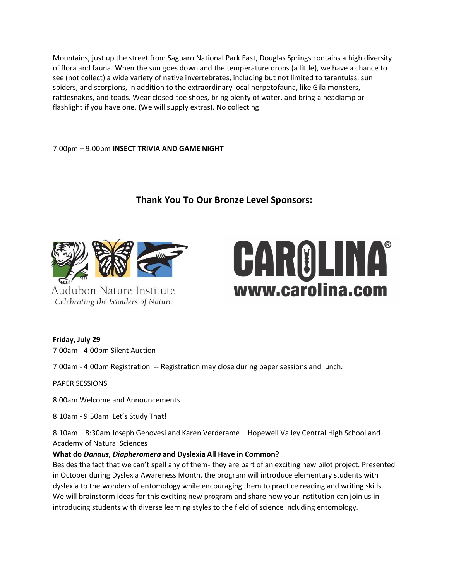Mountains, just up the street from Saguaro National Park East, Douglas Springs contains a high diversity of flora and fauna. When the sun goes down and the temperature drops (a little), we have a chance to see (not collect) a wide variety of native invertebrates, including but not limited to tarantulas, sun spiders, and scorpions, in addition to the extraordinary local herpetofauna, like Gila monsters, rattlesnakes, and toads. Wear closed-toe shoes, bring plenty of water, and bring a headlamp or flashlight if you have one. (We will supply extras). No collecting.

#### 7:00pm – 9:00pm **INSECT TRIVIA AND GAME NIGHT**

# **Thank You To Our Bronze Level Sponsors:**



Audubon Nature Institute Celebrating the Wonders of Nature

# CAROLINA® www.carolina.com

**Friday, July 29** 

7:00am - 4:00pm Silent Auction

7:00am - 4:00pm Registration -- Registration may close during paper sessions and lunch.

PAPER SESSIONS

8:00am Welcome and Announcements

8:10am - 9:50am Let's Study That!

8:10am – 8:30am Joseph Genovesi and Karen Verderame – Hopewell Valley Central High School and Academy of Natural Sciences

# **What do** *Danaus***,** *Diapheromera* **and Dyslexia All Have in Common?**

Besides the fact that we can't spell any of them- they are part of an exciting new pilot project. Presented in October during Dyslexia Awareness Month, the program will introduce elementary students with dyslexia to the wonders of entomology while encouraging them to practice reading and writing skills. We will brainstorm ideas for this exciting new program and share how your institution can join us in introducing students with diverse learning styles to the field of science including entomology.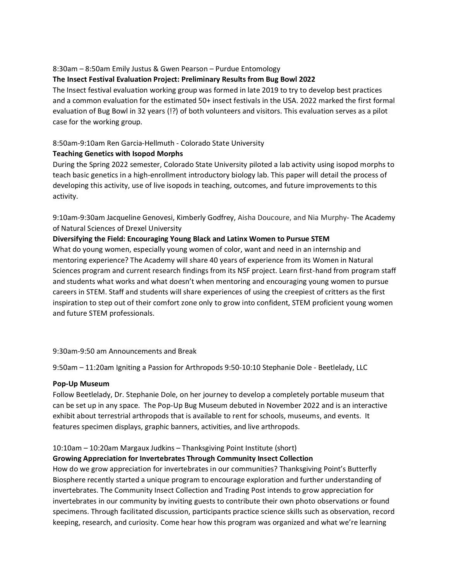# 8:30am – 8:50am Emily Justus & Gwen Pearson – Purdue Entomology

# **The Insect Festival Evaluation Project: Preliminary Results from Bug Bowl 2022**

The Insect festival evaluation working group was formed in late 2019 to try to develop best practices and a common evaluation for the estimated 50+ insect festivals in the USA. 2022 marked the first formal evaluation of Bug Bowl in 32 years (!?) of both volunteers and visitors. This evaluation serves as a pilot case for the working group.

# 8:50am-9:10am Ren Garcia-Hellmuth - Colorado State University

# **Teaching Genetics with Isopod Morphs**

During the Spring 2022 semester, Colorado State University piloted a lab activity using isopod morphs to teach basic genetics in a high-enrollment introductory biology lab. This paper will detail the process of developing this activity, use of live isopods in teaching, outcomes, and future improvements to this activity.

9:10am-9:30am Jacqueline Genovesi, Kimberly Godfrey, Aisha Doucoure, and Nia Murphy- The Academy of Natural Sciences of Drexel University

# **Diversifying the Field: Encouraging Young Black and Latinx Women to Pursue STEM**

What do young women, especially young women of color, want and need in an internship and mentoring experience? The Academy will share 40 years of experience from its Women in Natural Sciences program and current research findings from its NSF project. Learn first-hand from program staff and students what works and what doesn't when mentoring and encouraging young women to pursue careers in STEM. Staff and students will share experiences of using the creepiest of critters as the first inspiration to step out of their comfort zone only to grow into confident, STEM proficient young women and future STEM professionals.

# 9:30am-9:50 am Announcements and Break

9:50am – 11:20am Igniting a Passion for Arthropods 9:50-10:10 Stephanie Dole - Beetlelady, LLC

#### **Pop-Up Museum**

Follow Beetlelady, Dr. Stephanie Dole, on her journey to develop a completely portable museum that can be set up in any space. The Pop-Up Bug Museum debuted in November 2022 and is an interactive exhibit about terrestrial arthropods that is available to rent for schools, museums, and events. It features specimen displays, graphic banners, activities, and live arthropods.

# 10:10am – 10:20am Margaux Judkins – Thanksgiving Point Institute (short)

# **Growing Appreciation for Invertebrates Through Community Insect Collection**

How do we grow appreciation for invertebrates in our communities? Thanksgiving Point's Butterfly Biosphere recently started a unique program to encourage exploration and further understanding of invertebrates. The Community Insect Collection and Trading Post intends to grow appreciation for invertebrates in our community by inviting guests to contribute their own photo observations or found specimens. Through facilitated discussion, participants practice science skills such as observation, record keeping, research, and curiosity. Come hear how this program was organized and what we're learning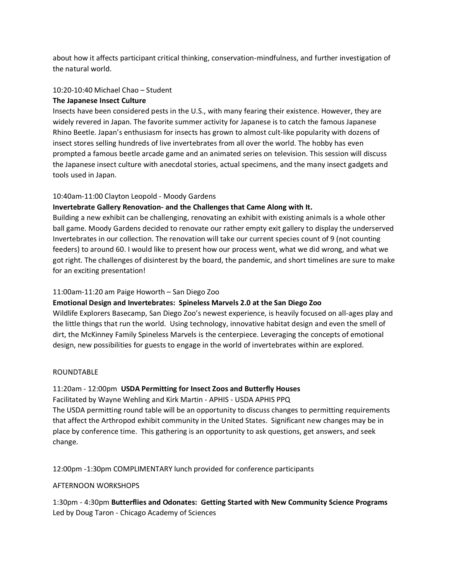about how it affects participant critical thinking, conservation-mindfulness, and further investigation of the natural world.

#### 10:20-10:40 Michael Chao – Student

#### **The Japanese Insect Culture**

Insects have been considered pests in the U.S., with many fearing their existence. However, they are widely revered in Japan. The favorite summer activity for Japanese is to catch the famous Japanese Rhino Beetle. Japan's enthusiasm for insects has grown to almost cult-like popularity with dozens of insect stores selling hundreds of live invertebrates from all over the world. The hobby has even prompted a famous beetle arcade game and an animated series on television. This session will discuss the Japanese insect culture with anecdotal stories, actual specimens, and the many insect gadgets and tools used in Japan.

#### 10:40am-11:00 Clayton Leopold - Moody Gardens

#### **Invertebrate Gallery Renovation- and the Challenges that Came Along with It.**

Building a new exhibit can be challenging, renovating an exhibit with existing animals is a whole other ball game. Moody Gardens decided to renovate our rather empty exit gallery to display the underserved Invertebrates in our collection. The renovation will take our current species count of 9 (not counting feeders) to around 60. I would like to present how our process went, what we did wrong, and what we got right. The challenges of disinterest by the board, the pandemic, and short timelines are sure to make for an exciting presentation!

#### 11:00am-11:20 am Paige Howorth – San Diego Zoo

#### **Emotional Design and Invertebrates: Spineless Marvels 2.0 at the San Diego Zoo**

Wildlife Explorers Basecamp, San Diego Zoo's newest experience, is heavily focused on all-ages play and the little things that run the world. Using technology, innovative habitat design and even the smell of dirt, the McKinney Family Spineless Marvels is the centerpiece. Leveraging the concepts of emotional design, new possibilities for guests to engage in the world of invertebrates within are explored.

#### ROUNDTABLE

#### 11:20am - 12:00pm **USDA Permitting for Insect Zoos and Butterfly Houses**

Facilitated by Wayne Wehling and Kirk Martin - APHIS - USDA APHIS PPQ The USDA permitting round table will be an opportunity to discuss changes to permitting requirements that affect the Arthropod exhibit community in the United States. Significant new changes may be in place by conference time. This gathering is an opportunity to ask questions, get answers, and seek change.

12:00pm -1:30pm COMPLIMENTARY lunch provided for conference participants

#### AFTERNOON WORKSHOPS

1:30pm - 4:30pm **Butterflies and Odonates: Getting Started with New Community Science Programs** Led by Doug Taron - Chicago Academy of Sciences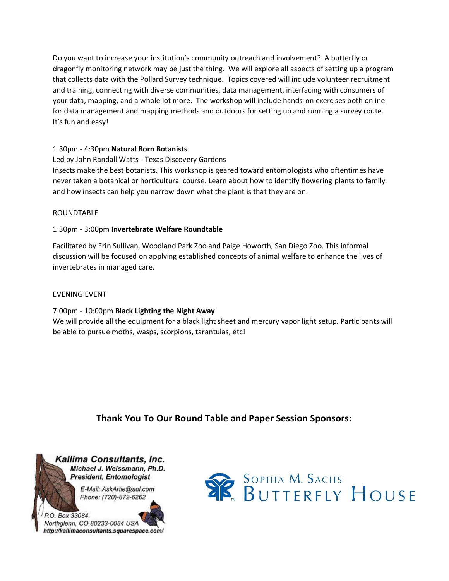Do you want to increase your institution's community outreach and involvement? A butterfly or dragonfly monitoring network may be just the thing. We will explore all aspects of setting up a program that collects data with the Pollard Survey technique. Topics covered will include volunteer recruitment and training, connecting with diverse communities, data management, interfacing with consumers of your data, mapping, and a whole lot more. The workshop will include hands-on exercises both online for data management and mapping methods and outdoors for setting up and running a survey route. It's fun and easy!

# 1:30pm - 4:30pm **Natural Born Botanists**

Led by John Randall Watts - Texas Discovery Gardens Insects make the best botanists. This workshop is geared toward entomologists who oftentimes have never taken a botanical or horticultural course. Learn about how to identify flowering plants to family and how insects can help you narrow down what the plant is that they are on.

#### ROUNDTABLE

# 1:30pm - 3:00pm **Invertebrate Welfare Roundtable**

Facilitated by Erin Sullivan, Woodland Park Zoo and Paige Howorth, San Diego Zoo. This informal discussion will be focused on applying established concepts of animal welfare to enhance the lives of invertebrates in managed care.

#### EVENING EVENT

7:00pm - 10:00pm **Black Lighting the Night Away** We will provide all the equipment for a black light sheet and mercury vapor light setup. Participants will be able to pursue moths, wasps, scorpions, tarantulas, etc!

# **Thank You To Our Round Table and Paper Session Sponsors:**



E-Mail: AskArtie@aol.com Phone: (720)-872-6262

# P.O. Box 33084 Northglenn, CO 80233-0084 USA http://kallimaconsultants.squarespace.com/

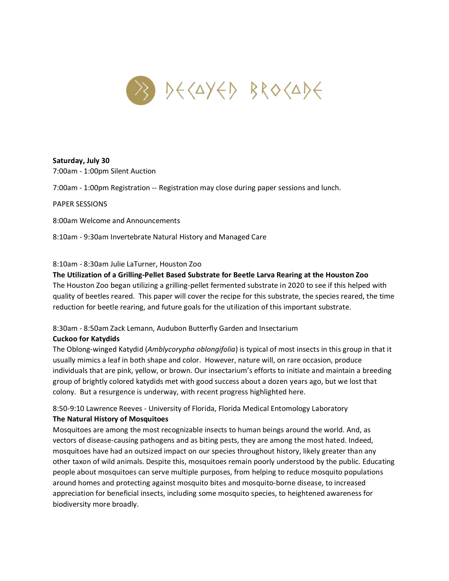

#### **Saturday, July 30**

7:00am - 1:00pm Silent Auction

7:00am - 1:00pm Registration -- Registration may close during paper sessions and lunch.

PAPER SESSIONS

8:00am Welcome and Announcements

8:10am - 9:30am Invertebrate Natural History and Managed Care

#### 8:10am - 8:30am Julie LaTurner, Houston Zoo

#### **The Utilization of a Grilling-Pellet Based Substrate for Beetle Larva Rearing at the Houston Zoo**

The Houston Zoo began utilizing a grilling-pellet fermented substrate in 2020 to see if this helped with quality of beetles reared. This paper will cover the recipe for this substrate, the species reared, the time reduction for beetle rearing, and future goals for the utilization of this important substrate.

# 8:30am - 8:50am Zack Lemann, Audubon Butterfly Garden and Insectarium

#### **Cuckoo for Katydids**

The Oblong-winged Katydid (*Amblycorypha oblongifolia*) is typical of most insects in this group in that it usually mimics a leaf in both shape and color. However, nature will, on rare occasion, produce individuals that are pink, yellow, or brown. Our insectarium's efforts to initiate and maintain a breeding group of brightly colored katydids met with good success about a dozen years ago, but we lost that colony. But a resurgence is underway, with recent progress highlighted here.

8:50-9:10 Lawrence Reeves - University of Florida, Florida Medical Entomology Laboratory **The Natural History of Mosquitoes**

Mosquitoes are among the most recognizable insects to human beings around the world. And, as vectors of disease-causing pathogens and as biting pests, they are among the most hated. Indeed, mosquitoes have had an outsized impact on our species throughout history, likely greater than any other taxon of wild animals. Despite this, mosquitoes remain poorly understood by the public. Educating people about mosquitoes can serve multiple purposes, from helping to reduce mosquito populations around homes and protecting against mosquito bites and mosquito-borne disease, to increased appreciation for beneficial insects, including some mosquito species, to heightened awareness for biodiversity more broadly.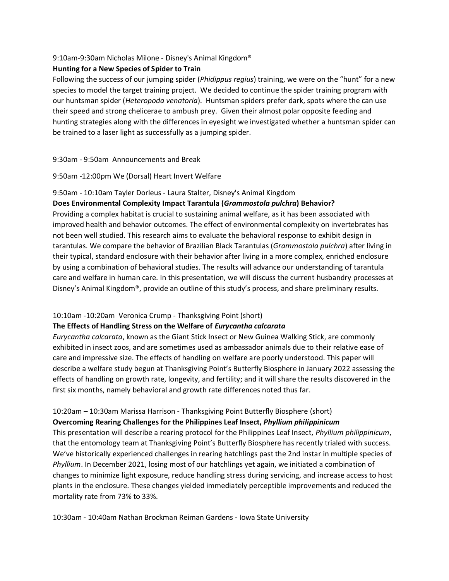#### 9:10am-9:30am Nicholas Milone - Disney's Animal Kingdom®

### **Hunting for a New Species of Spider to Train**

Following the success of our jumping spider (*Phidippus regius*) training, we were on the "hunt" for a new species to model the target training project. We decided to continue the spider training program with our huntsman spider (*Heteropoda venatoria*). Huntsman spiders prefer dark, spots where the can use their speed and strong chelicerae to ambush prey. Given their almost polar opposite feeding and hunting strategies along with the differences in eyesight we investigated whether a huntsman spider can be trained to a laser light as successfully as a jumping spider.

# 9:30am - 9:50am Announcements and Break

#### 9:50am -12:00pm We (Dorsal) Heart Invert Welfare

# 9:50am - 10:10am Tayler Dorleus - Laura Stalter, Disney's Animal Kingdom

# **Does Environmental Complexity Impact Tarantula (***Grammostola pulchra***) Behavior?**

Providing a complex habitat is crucial to sustaining animal welfare, as it has been associated with improved health and behavior outcomes. The effect of environmental complexity on invertebrates has not been well studied. This research aims to evaluate the behavioral response to exhibit design in tarantulas. We compare the behavior of Brazilian Black Tarantulas (*Grammostola pulchra*) after living in their typical, standard enclosure with their behavior after living in a more complex, enriched enclosure by using a combination of behavioral studies. The results will advance our understanding of tarantula care and welfare in human care. In this presentation, we will discuss the current husbandry processes at Disney's Animal Kingdom®, provide an outline of this study's process, and share preliminary results.

# 10:10am -10:20am Veronica Crump - Thanksgiving Point (short)

#### **The Effects of Handling Stress on the Welfare of** *Eurycantha calcarata*

*Eurycantha calcarata*, known as the Giant Stick Insect or New Guinea Walking Stick, are commonly exhibited in insect zoos, and are sometimes used as ambassador animals due to their relative ease of care and impressive size. The effects of handling on welfare are poorly understood. This paper will describe a welfare study begun at Thanksgiving Point's Butterfly Biosphere in January 2022 assessing the effects of handling on growth rate, longevity, and fertility; and it will share the results discovered in the first six months, namely behavioral and growth rate differences noted thus far.

# 10:20am – 10:30am Marissa Harrison - Thanksgiving Point Butterfly Biosphere (short)

#### **Overcoming Rearing Challenges for the Philippines Leaf Insect,** *Phyllium philippinicum*

This presentation will describe a rearing protocol for the Philippines Leaf Insect, *Phyllium philippinicum*, that the entomology team at Thanksgiving Point's Butterfly Biosphere has recently trialed with success. We've historically experienced challenges in rearing hatchlings past the 2nd instar in multiple species of *Phyllium*. In December 2021, losing most of our hatchlings yet again, we initiated a combination of changes to minimize light exposure, reduce handling stress during servicing, and increase access to host plants in the enclosure. These changes yielded immediately perceptible improvements and reduced the mortality rate from 73% to 33%.

10:30am - 10:40am Nathan Brockman Reiman Gardens - Iowa State University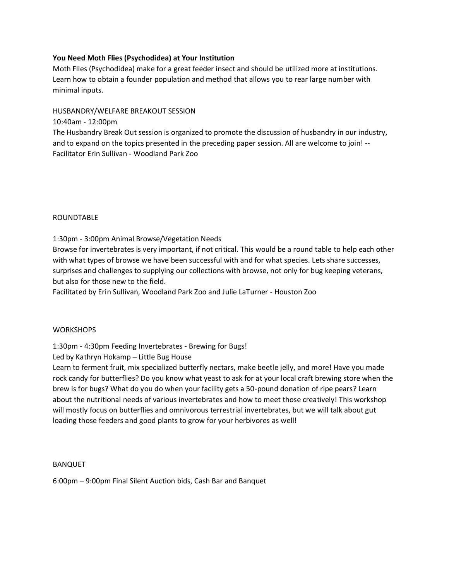# **You Need Moth Flies (Psychodidea) at Your Institution**

Moth Flies (Psychodidea) make for a great feeder insect and should be utilized more at institutions. Learn how to obtain a founder population and method that allows you to rear large number with minimal inputs.

HUSBANDRY/WELFARE BREAKOUT SESSION

10:40am - 12:00pm

The Husbandry Break Out session is organized to promote the discussion of husbandry in our industry, and to expand on the topics presented in the preceding paper session. All are welcome to join! -- Facilitator Erin Sullivan - Woodland Park Zoo

#### ROUNDTABLE

1:30pm - 3:00pm Animal Browse/Vegetation Needs

Browse for invertebrates is very important, if not critical. This would be a round table to help each other with what types of browse we have been successful with and for what species. Lets share successes, surprises and challenges to supplying our collections with browse, not only for bug keeping veterans, but also for those new to the field.

Facilitated by Erin Sullivan, Woodland Park Zoo and Julie LaTurner - Houston Zoo

#### **WORKSHOPS**

1:30pm - 4:30pm Feeding Invertebrates - Brewing for Bugs!

Led by Kathryn Hokamp – Little Bug House

Learn to ferment fruit, mix specialized butterfly nectars, make beetle jelly, and more! Have you made rock candy for butterflies? Do you know what yeast to ask for at your local craft brewing store when the brew is for bugs? What do you do when your facility gets a 50-pound donation of ripe pears? Learn about the nutritional needs of various invertebrates and how to meet those creatively! This workshop will mostly focus on butterflies and omnivorous terrestrial invertebrates, but we will talk about gut loading those feeders and good plants to grow for your herbivores as well!

#### BANQUET

6:00pm – 9:00pm Final Silent Auction bids, Cash Bar and Banquet